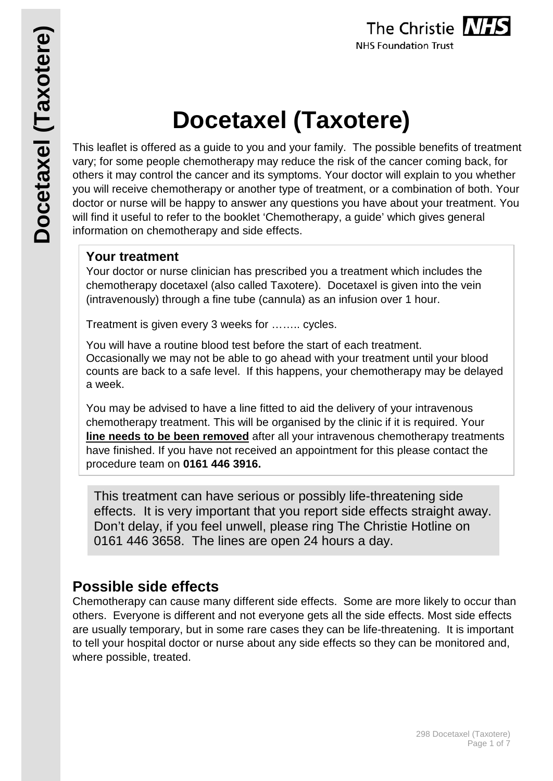# **Docetaxel (Taxotere)**

This leaflet is offered as a guide to you and your family. The possible benefits of treatment vary; for some people chemotherapy may reduce the risk of the cancer coming back, for others it may control the cancer and its symptoms. Your doctor will explain to you whether you will receive chemotherapy or another type of treatment, or a combination of both. Your doctor or nurse will be happy to answer any questions you have about your treatment. You will find it useful to refer to the booklet 'Chemotherapy, a guide' which gives general information on chemotherapy and side effects.

# **Your treatment**

Your doctor or nurse clinician has prescribed you a treatment which includes the chemotherapy docetaxel (also called Taxotere). Docetaxel is given into the vein (intravenously) through a fine tube (cannula) as an infusion over 1 hour.

Treatment is given every 3 weeks for …….. cycles.

You will have a routine blood test before the start of each treatment. Occasionally we may not be able to go ahead with your treatment until your blood counts are back to a safe level. If this happens, your chemotherapy may be delayed a week.

You may be advised to have a line fitted to aid the delivery of your intravenous chemotherapy treatment. This will be organised by the clinic if it is required. Your **line needs to be been removed** after all your intravenous chemotherapy treatments have finished. If you have not received an appointment for this please contact the procedure team on **0161 446 3916.**

This treatment can have serious or possibly life-threatening side effects. It is very important that you report side effects straight away. Don't delay, if you feel unwell, please ring The Christie Hotline on 0161 446 3658. The lines are open 24 hours a day.

# **Possible side effects**

Chemotherapy can cause many different side effects. Some are more likely to occur than others. Everyone is different and not everyone gets all the side effects. Most side effects are usually temporary, but in some rare cases they can be life-threatening. It is important to tell your hospital doctor or nurse about any side effects so they can be monitored and, where possible, treated.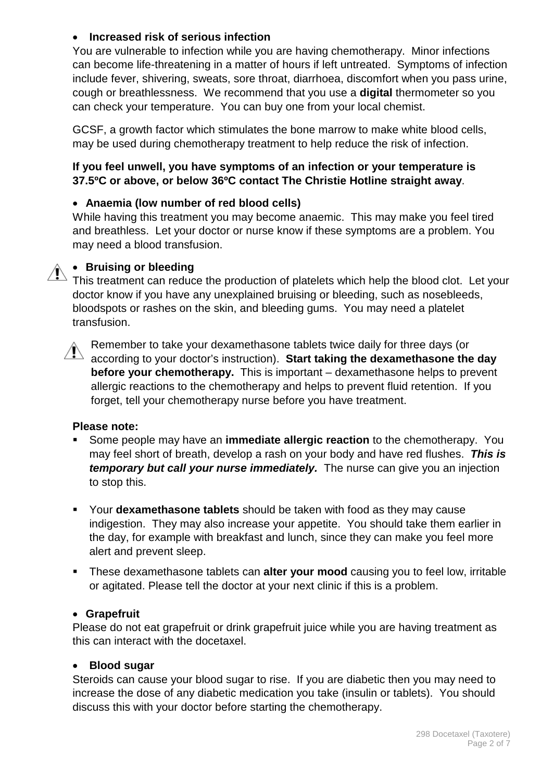# • **Increased risk of serious infection**

You are vulnerable to infection while you are having chemotherapy. Minor infections can become life-threatening in a matter of hours if left untreated. Symptoms of infection include fever, shivering, sweats, sore throat, diarrhoea, discomfort when you pass urine, cough or breathlessness. We recommend that you use a **digital** thermometer so you can check your temperature. You can buy one from your local chemist.

GCSF, a growth factor which stimulates the bone marrow to make white blood cells, may be used during chemotherapy treatment to help reduce the risk of infection.

#### **If you feel unwell, you have symptoms of an infection or your temperature is 37.5ºC or above, or below 36ºC contact The Christie Hotline straight away**.

# • **Anaemia (low number of red blood cells)**

While having this treatment you may become anaemic. This may make you feel tired and breathless. Let your doctor or nurse know if these symptoms are a problem. You may need a blood transfusion.

# • **Bruising or bleeding**

This treatment can reduce the production of platelets which help the blood clot. Let your doctor know if you have any unexplained bruising or bleeding, such as nosebleeds, bloodspots or rashes on the skin, and bleeding gums. You may need a platelet transfusion.



Remember to take your dexamethasone tablets twice daily for three days (or according to your doctor's instruction). **Start taking the dexamethasone the day before your chemotherapy.** This is important – dexamethasone helps to prevent allergic reactions to the chemotherapy and helps to prevent fluid retention. If you forget, tell your chemotherapy nurse before you have treatment.

#### **Please note:**

- Some people may have an **immediate allergic reaction** to the chemotherapy. You may feel short of breath, develop a rash on your body and have red flushes. *This is temporary but call your nurse immediately.* The nurse can give you an injection to stop this.
- Your **dexamethasone tablets** should be taken with food as they may cause indigestion. They may also increase your appetite. You should take them earlier in the day, for example with breakfast and lunch, since they can make you feel more alert and prevent sleep.
- These dexamethasone tablets can **alter your mood** causing you to feel low, irritable or agitated. Please tell the doctor at your next clinic if this is a problem.

#### • **Grapefruit**

Please do not eat grapefruit or drink grapefruit juice while you are having treatment as this can interact with the docetaxel.

#### • **Blood sugar**

Steroids can cause your blood sugar to rise. If you are diabetic then you may need to increase the dose of any diabetic medication you take (insulin or tablets). You should discuss this with your doctor before starting the chemotherapy.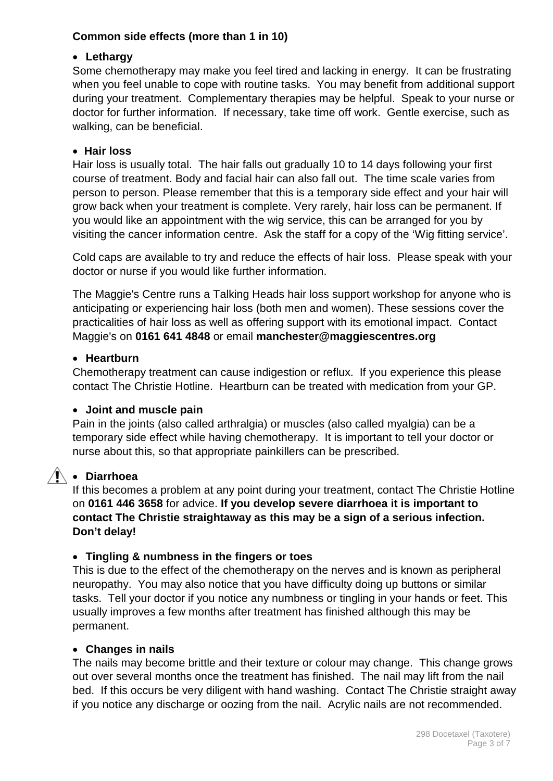# **Common side effects (more than 1 in 10)**

# • **Lethargy**

Some chemotherapy may make you feel tired and lacking in energy. It can be frustrating when you feel unable to cope with routine tasks. You may benefit from additional support during your treatment. Complementary therapies may be helpful. Speak to your nurse or doctor for further information. If necessary, take time off work. Gentle exercise, such as walking, can be beneficial.

# • **Hair loss**

Hair loss is usually total. The hair falls out gradually 10 to 14 days following your first course of treatment. Body and facial hair can also fall out. The time scale varies from person to person. Please remember that this is a temporary side effect and your hair will grow back when your treatment is complete. Very rarely, hair loss can be permanent. If you would like an appointment with the wig service, this can be arranged for you by visiting the cancer information centre. Ask the staff for a copy of the 'Wig fitting service'.

Cold caps are available to try and reduce the effects of hair loss. Please speak with your doctor or nurse if you would like further information.

The Maggie's Centre runs a Talking Heads hair loss support workshop for anyone who is anticipating or experiencing hair loss (both men and women). These sessions cover the practicalities of hair loss as well as offering support with its emotional impact. Contact Maggie's on **0161 641 4848** or email **manchester@maggiescentres.org**

# • **Heartburn**

Chemotherapy treatment can cause indigestion or reflux. If you experience this please contact The Christie Hotline. Heartburn can be treated with medication from your GP.

# • **Joint and muscle pain**

Pain in the joints (also called arthralgia) or muscles (also called myalgia) can be a temporary side effect while having chemotherapy. It is important to tell your doctor or nurse about this, so that appropriate painkillers can be prescribed.

# • **Diarrhoea**

If this becomes a problem at any point during your treatment, contact The Christie Hotline on **0161 446 3658** for advice. **If you develop severe diarrhoea it is important to contact The Christie straightaway as this may be a sign of a serious infection. Don't delay!**

# • **Tingling & numbness in the fingers or toes**

This is due to the effect of the chemotherapy on the nerves and is known as peripheral neuropathy. You may also notice that you have difficulty doing up buttons or similar tasks. Tell your doctor if you notice any numbness or tingling in your hands or feet. This usually improves a few months after treatment has finished although this may be permanent.

#### • **Changes in nails**

The nails may become brittle and their texture or colour may change. This change grows out over several months once the treatment has finished. The nail may lift from the nail bed. If this occurs be very diligent with hand washing. Contact The Christie straight away if you notice any discharge or oozing from the nail. Acrylic nails are not recommended.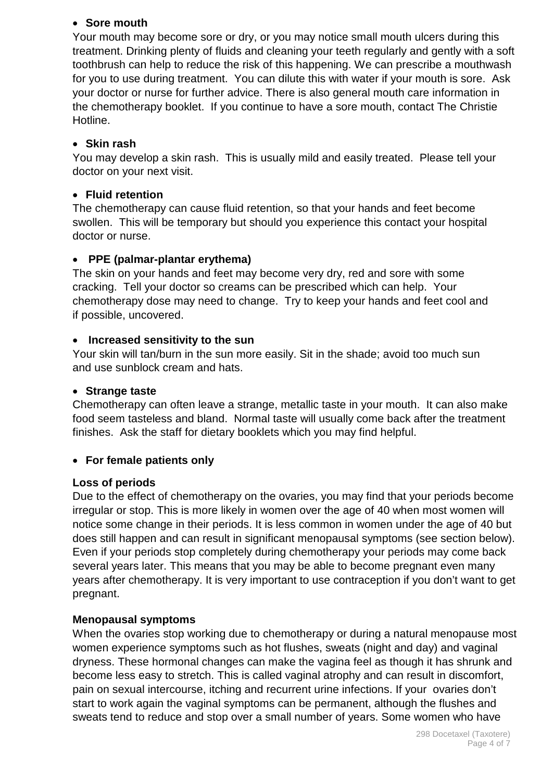#### • **Sore mouth**

Your mouth may become sore or dry, or you may notice small mouth ulcers during this treatment. Drinking plenty of fluids and cleaning your teeth regularly and gently with a soft toothbrush can help to reduce the risk of this happening. We can prescribe a mouthwash for you to use during treatment. You can dilute this with water if your mouth is sore. Ask your doctor or nurse for further advice. There is also general mouth care information in the chemotherapy booklet. If you continue to have a sore mouth, contact The Christie Hotline.

# • **Skin rash**

You may develop a skin rash. This is usually mild and easily treated. Please tell your doctor on your next visit.

# • **Fluid retention**

The chemotherapy can cause fluid retention, so that your hands and feet become swollen. This will be temporary but should you experience this contact your hospital doctor or nurse.

# • **PPE (palmar-plantar erythema)**

The skin on your hands and feet may become very dry, red and sore with some cracking. Tell your doctor so creams can be prescribed which can help. Your chemotherapy dose may need to change. Try to keep your hands and feet cool and if possible, uncovered.

# • **Increased sensitivity to the sun**

Your skin will tan/burn in the sun more easily. Sit in the shade; avoid too much sun and use sunblock cream and hats.

# • **Strange taste**

Chemotherapy can often leave a strange, metallic taste in your mouth. It can also make food seem tasteless and bland. Normal taste will usually come back after the treatment finishes. Ask the staff for dietary booklets which you may find helpful.

# • **For female patients only**

# **Loss of periods**

Due to the effect of chemotherapy on the ovaries, you may find that your periods become irregular or stop. This is more likely in women over the age of 40 when most women will notice some change in their periods. It is less common in women under the age of 40 but does still happen and can result in significant menopausal symptoms (see section below). Even if your periods stop completely during chemotherapy your periods may come back several years later. This means that you may be able to become pregnant even many years after chemotherapy. It is very important to use contraception if you don't want to get pregnant.

# **Menopausal symptoms**

When the ovaries stop working due to chemotherapy or during a natural menopause most women experience symptoms such as hot flushes, sweats (night and day) and vaginal dryness. These hormonal changes can make the vagina feel as though it has shrunk and become less easy to stretch. This is called vaginal atrophy and can result in discomfort, pain on sexual intercourse, itching and recurrent urine infections. If your ovaries don't start to work again the vaginal symptoms can be permanent, although the flushes and sweats tend to reduce and stop over a small number of years. Some women who have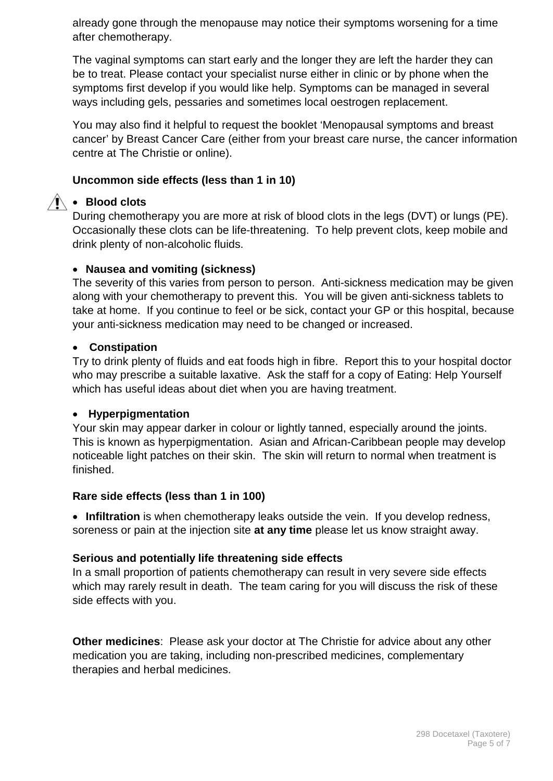already gone through the menopause may notice their symptoms worsening for a time after chemotherapy.

The vaginal symptoms can start early and the longer they are left the harder they can be to treat. Please contact your specialist nurse either in clinic or by phone when the symptoms first develop if you would like help. Symptoms can be managed in several ways including gels, pessaries and sometimes local oestrogen replacement.

You may also find it helpful to request the booklet 'Menopausal symptoms and breast cancer' by Breast Cancer Care (either from your breast care nurse, the cancer information centre at The Christie or online).

# **Uncommon side effects (less than 1 in 10)**

# • **Blood clots**

During chemotherapy you are more at risk of blood clots in the legs (DVT) or lungs (PE). Occasionally these clots can be life-threatening. To help prevent clots, keep mobile and drink plenty of non-alcoholic fluids.

# • **Nausea and vomiting (sickness)**

The severity of this varies from person to person. Anti-sickness medication may be given along with your chemotherapy to prevent this. You will be given anti-sickness tablets to take at home. If you continue to feel or be sick, contact your GP or this hospital, because your anti-sickness medication may need to be changed or increased.

# • **Constipation**

Try to drink plenty of fluids and eat foods high in fibre. Report this to your hospital doctor who may prescribe a suitable laxative. Ask the staff for a copy of Eating: Help Yourself which has useful ideas about diet when you are having treatment.

# • **Hyperpigmentation**

Your skin may appear darker in colour or lightly tanned, especially around the joints. This is known as hyperpigmentation. Asian and African-Caribbean people may develop noticeable light patches on their skin. The skin will return to normal when treatment is finished.

# **Rare side effects (less than 1 in 100)**

• **Infiltration** is when chemotherapy leaks outside the vein. If you develop redness, soreness or pain at the injection site **at any time** please let us know straight away.

# **Serious and potentially life threatening side effects**

In a small proportion of patients chemotherapy can result in very severe side effects which may rarely result in death. The team caring for you will discuss the risk of these side effects with you.

**Other medicines**: Please ask your doctor at The Christie for advice about any other medication you are taking, including non-prescribed medicines, complementary therapies and herbal medicines.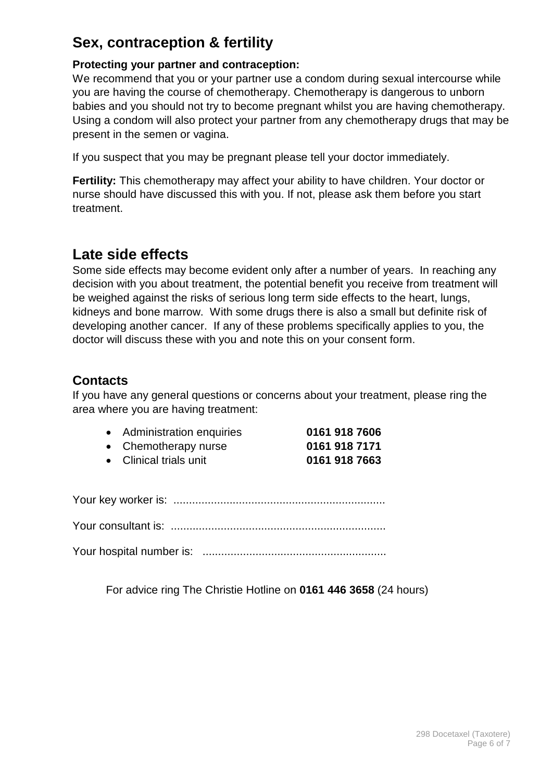# **Sex, contraception & fertility**

# **Protecting your partner and contraception:**

We recommend that you or your partner use a condom during sexual intercourse while you are having the course of chemotherapy. Chemotherapy is dangerous to unborn babies and you should not try to become pregnant whilst you are having chemotherapy. Using a condom will also protect your partner from any chemotherapy drugs that may be present in the semen or vagina.

If you suspect that you may be pregnant please tell your doctor immediately.

**Fertility:** This chemotherapy may affect your ability to have children. Your doctor or nurse should have discussed this with you. If not, please ask them before you start treatment.

# **Late side effects**

Some side effects may become evident only after a number of years. In reaching any decision with you about treatment, the potential benefit you receive from treatment will be weighed against the risks of serious long term side effects to the heart, lungs, kidneys and bone marrow. With some drugs there is also a small but definite risk of developing another cancer. If any of these problems specifically applies to you, the doctor will discuss these with you and note this on your consent form.

# **Contacts**

If you have any general questions or concerns about your treatment, please ring the area where you are having treatment:

| • Administration enquiries | 0161 918 7606 |
|----------------------------|---------------|
| • Chemotherapy nurse       | 0161 918 7171 |

| 5.0011511518677        | .             |
|------------------------|---------------|
| • Clinical trials unit | 0161 918 7663 |

Your key worker is: ....................................................................

Your consultant is: .....................................................................

Your hospital number is: ...........................................................

For advice ring The Christie Hotline on **0161 446 3658** (24 hours)